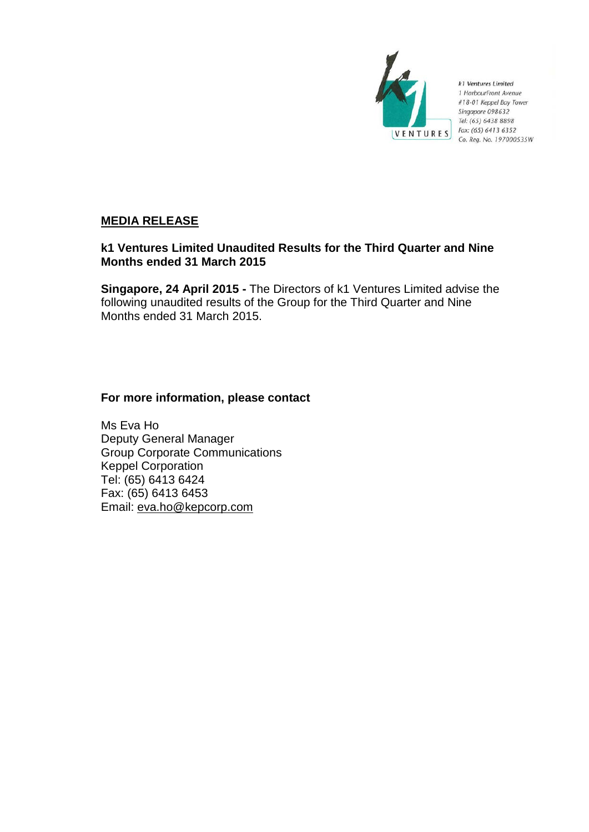

k1 Ventures Limited 1 HarbourFront Avenue #18-01 Keppel Bay Tower Singapore 098632 Tel: (65) 6438 8898 Fax: (65) 6413 6352 Co. Reg. No. 197000535W

# **MEDIA RELEASE**

# **k1 Ventures Limited Unaudited Results for the Third Quarter and Nine Months ended 31 March 2015**

**Singapore, 24 April 2015 -** The Directors of k1 Ventures Limited advise the following unaudited results of the Group for the Third Quarter and Nine Months ended 31 March 2015.

# **For more information, please contact**

Ms Eva Ho Deputy General Manager Group Corporate Communications Keppel Corporation Tel: (65) 6413 6424 Fax: (65) 6413 6453 Email: eva.ho@kepcorp.com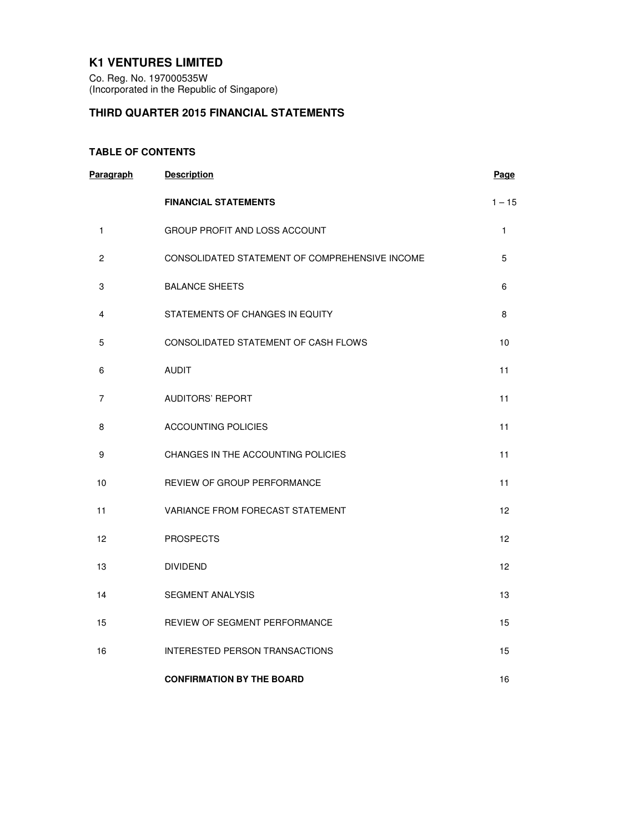# **K1 VENTURES LIMITED**

Co. Reg. No. 197000535W (Incorporated in the Republic of Singapore)

# **THIRD QUARTER 2015 FINANCIAL STATEMENTS**

# **TABLE OF CONTENTS**

| Paragraph      | <b>Description</b>                             | Page     |
|----------------|------------------------------------------------|----------|
|                | <b>FINANCIAL STATEMENTS</b>                    | $1 - 15$ |
| 1              | GROUP PROFIT AND LOSS ACCOUNT                  | 1        |
| $\overline{c}$ | CONSOLIDATED STATEMENT OF COMPREHENSIVE INCOME | 5        |
| 3              | <b>BALANCE SHEETS</b>                          | 6        |
| 4              | STATEMENTS OF CHANGES IN EQUITY                | 8        |
| 5              | CONSOLIDATED STATEMENT OF CASH FLOWS           | 10       |
| 6              | <b>AUDIT</b>                                   | 11       |
| 7              | <b>AUDITORS' REPORT</b>                        | 11       |
| 8              | <b>ACCOUNTING POLICIES</b>                     | 11       |
| 9              | CHANGES IN THE ACCOUNTING POLICIES             | 11       |
| 10             | <b>REVIEW OF GROUP PERFORMANCE</b>             | 11       |
| 11             | VARIANCE FROM FORECAST STATEMENT               | 12       |
| 12             | <b>PROSPECTS</b>                               | 12       |
| 13             | <b>DIVIDEND</b>                                | 12       |
| 14             | <b>SEGMENT ANALYSIS</b>                        | 13       |
| 15             | REVIEW OF SEGMENT PERFORMANCE                  | 15       |
| 16             | <b>INTERESTED PERSON TRANSACTIONS</b>          | 15       |
|                | <b>CONFIRMATION BY THE BOARD</b>               | 16       |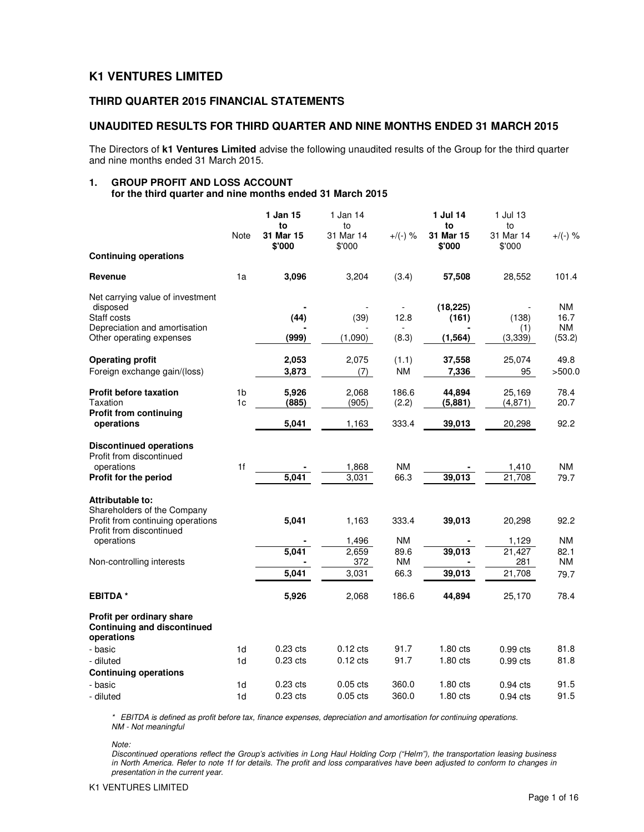# **K1 VENTURES LIMITED**

# **THIRD QUARTER 2015 FINANCIAL STATEMENTS**

### **UNAUDITED RESULTS FOR THIRD QUARTER AND NINE MONTHS ENDED 31 MARCH 2015**

The Directors of **k1 Ventures Limited** advise the following unaudited results of the Group for the third quarter and nine months ended 31 March 2015.

#### **1. GROUP PROFIT AND LOSS ACCOUNT for the third quarter and nine months ended 31 March 2015**

|                                                                               | Note           | 1 Jan 15<br>to<br>31 Mar 15 | 1 Jan 14<br>to<br>31 Mar 14 | $+/(-)$ % | 1 Jul 14<br>to<br>31 Mar 15 | 1 Jul 13<br>to<br>31 Mar 14 | $+$ /(-) %        |
|-------------------------------------------------------------------------------|----------------|-----------------------------|-----------------------------|-----------|-----------------------------|-----------------------------|-------------------|
| <b>Continuing operations</b>                                                  |                | \$'000                      | \$'000                      |           | \$'000                      | \$'000                      |                   |
| Revenue                                                                       | 1a             | 3,096                       | 3,204                       | (3.4)     | 57,508                      | 28,552                      | 101.4             |
| Net carrying value of investment                                              |                |                             |                             |           |                             |                             |                   |
| disposed                                                                      |                |                             |                             |           | (18, 225)                   |                             | NM.               |
| Staff costs                                                                   |                | (44)                        | (39)                        | 12.8      | (161)                       | (138)                       | 16.7<br><b>NM</b> |
| Depreciation and amortisation<br>Other operating expenses                     |                | (999)                       | (1,090)                     | (8.3)     | (1, 564)                    | (1)<br>(3, 339)             | (53.2)            |
|                                                                               |                |                             |                             |           |                             |                             |                   |
| <b>Operating profit</b>                                                       |                | 2,053                       | 2,075                       | (1.1)     | 37,558                      | 25,074                      | 49.8              |
| Foreign exchange gain/(loss)                                                  |                | 3,873                       | (7)                         | <b>NM</b> | 7,336                       | 95                          | >500.0            |
|                                                                               |                |                             |                             |           |                             |                             |                   |
| <b>Profit before taxation</b>                                                 | 1 <sub>b</sub> | 5,926                       | 2,068                       | 186.6     | 44,894                      | 25,169                      | 78.4              |
| Taxation                                                                      | 1 <sub>c</sub> | (885)                       | (905)                       | (2.2)     | (5,881)                     | (4,871)                     | 20.7              |
| <b>Profit from continuing</b><br>operations                                   |                | 5,041                       | 1,163                       | 333.4     | 39,013                      | 20,298                      | 92.2              |
| <b>Discontinued operations</b><br>Profit from discontinued                    |                |                             |                             |           |                             |                             |                   |
| operations                                                                    | 1 <sup>f</sup> |                             | 1,868                       | <b>NM</b> |                             | 1,410                       | <b>NM</b>         |
| Profit for the period                                                         |                | 5,041                       | 3,031                       | 66.3      | 39,013                      | 21,708                      | 79.7              |
| Attributable to:<br>Shareholders of the Company                               |                |                             |                             |           |                             |                             |                   |
| Profit from continuing operations                                             |                | 5,041                       | 1,163                       | 333.4     | 39,013                      | 20,298                      | 92.2              |
| Profit from discontinued<br>operations                                        |                |                             | 1,496                       | <b>NM</b> |                             | 1,129                       | <b>NM</b>         |
|                                                                               |                | 5,041                       | 2,659                       | 89.6      | 39,013                      | 21,427                      | 82.1              |
| Non-controlling interests                                                     |                |                             | 372                         | <b>NM</b> |                             | 281                         | <b>NM</b>         |
|                                                                               |                | 5,041                       | 3,031                       | 66.3      | 39,013                      | 21,708                      | 79.7              |
| <b>EBITDA</b> *                                                               |                | 5,926                       | 2,068                       | 186.6     | 44,894                      | 25,170                      | 78.4              |
| Profit per ordinary share<br><b>Continuing and discontinued</b><br>operations |                |                             |                             |           |                             |                             |                   |
| - basic                                                                       | 1d             | $0.23$ cts                  | $0.12$ cts                  | 91.7      | $1.80$ cts                  | $0.99$ cts                  | 81.8              |
| - diluted                                                                     | 1 <sub>d</sub> | 0.23 cts                    | $0.12$ cts                  | 91.7      | 1.80 cts                    | $0.99$ cts                  | 81.8              |
| <b>Continuing operations</b>                                                  |                |                             |                             |           |                             |                             |                   |
| - basic                                                                       | 1 <sub>d</sub> | $0.23$ cts                  | $0.05$ cts                  | 360.0     | $1.80$ cts                  | $0.94$ cts                  | 91.5              |
| - diluted                                                                     | 1d             | $0.23$ cts                  | $0.05$ cts                  | 360.0     | $1.80$ cts                  | $0.94$ cts                  | 91.5              |

\* EBITDA is defined as profit before tax, finance expenses, depreciation and amortisation for continuing operations. NM - Not meaningful

Note:

Discontinued operations reflect the Group's activities in Long Haul Holding Corp ("Helm"), the transportation leasing business in North America. Refer to note 1f for details. The profit and loss comparatives have been adjusted to conform to changes in presentation in the current year.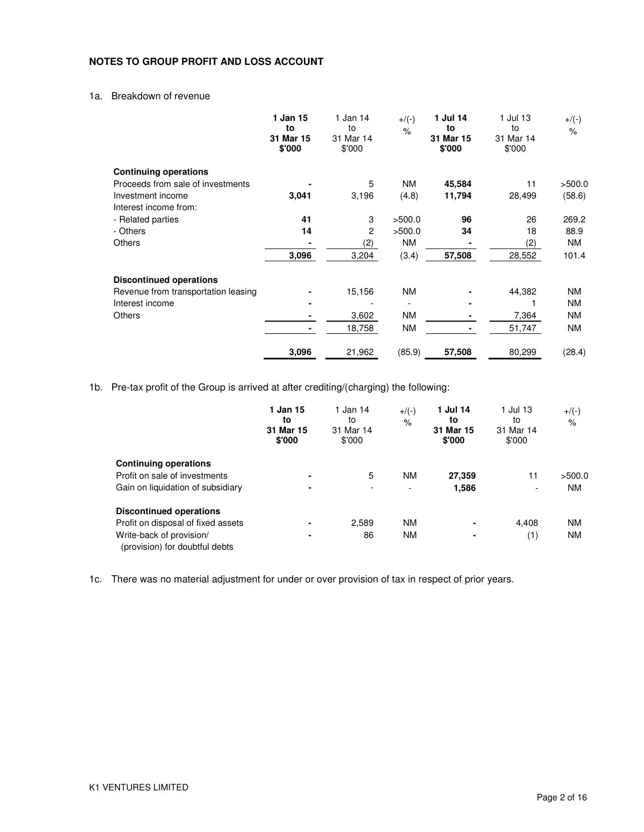# **NOTES TO GROUP PROFIT AND LOSS ACCOUNT**

# 1a. Breakdown of revenue

|                                     | 1 Jan 15<br>to<br>31 Mar 15<br>\$'000 | 1 Jan 14<br>to<br>31 Mar 14<br>\$'000 | $+/(-)$<br>$\%$ | 1 Jul 14<br>to<br>31 Mar 15<br>\$'000 | 1 Jul 13<br>to<br>31 Mar 14<br>\$'000 | $+$ /(-)<br>$\%$ |
|-------------------------------------|---------------------------------------|---------------------------------------|-----------------|---------------------------------------|---------------------------------------|------------------|
| <b>Continuing operations</b>        |                                       |                                       |                 |                                       |                                       |                  |
| Proceeds from sale of investments   |                                       | 5                                     | <b>NM</b>       | 45,584                                | 11                                    | >500.0           |
| Investment income                   | 3,041                                 | 3,196                                 | (4.8)           | 11,794                                | 28,499                                | (58.6)           |
| Interest income from:               |                                       |                                       |                 |                                       |                                       |                  |
| - Related parties                   | 41                                    | 3                                     | >500.0          | 96                                    | 26                                    | 269.2            |
| - Others                            | 14                                    | 2                                     | >500.0          | 34                                    | 18                                    | 88.9             |
| <b>Others</b>                       |                                       | (2)                                   | <b>NM</b>       |                                       | (2)                                   | NM               |
|                                     | 3,096                                 | 3,204                                 | (3.4)           | 57,508                                | 28,552                                | 101.4            |
| <b>Discontinued operations</b>      |                                       |                                       |                 |                                       |                                       |                  |
| Revenue from transportation leasing |                                       | 15,156                                | <b>NM</b>       |                                       | 44,382                                | ΝM               |
| Interest income                     |                                       |                                       |                 |                                       |                                       | <b>NM</b>        |
| <b>Others</b>                       |                                       | 3,602                                 | ΝM              |                                       | 7,364                                 | ΝM               |
|                                     |                                       | 18,758                                | <b>NM</b>       |                                       | 51,747                                | NM               |
|                                     | 3,096                                 | 21,962                                | (85.9)          | 57,508                                | 80,299                                | (28.4)           |

1b. Pre-tax profit of the Group is arrived at after crediting/(charging) the following:

|                                                            | 1 Jan 15<br>to<br>31 Mar 15<br>\$'000 | 1 Jan 14<br>to<br>31 Mar 14<br>\$'000 | $+/(-)$<br>$\%$          | 1 Jul 14<br>to<br>31 Mar 15<br>\$'000 | 1 Jul 13<br>to<br>31 Mar 14<br>\$'000 | $+$ /(-)<br>$\%$ |
|------------------------------------------------------------|---------------------------------------|---------------------------------------|--------------------------|---------------------------------------|---------------------------------------|------------------|
| <b>Continuing operations</b>                               |                                       |                                       |                          |                                       |                                       |                  |
| Profit on sale of investments                              | ۰                                     | 5                                     | <b>NM</b>                | 27,359                                | 11                                    | >500.0           |
| Gain on liquidation of subsidiary                          | ٠                                     | $\overline{\phantom{0}}$              | $\overline{\phantom{0}}$ | 1,586                                 | $\overline{\phantom{a}}$              | <b>NM</b>        |
| <b>Discontinued operations</b>                             |                                       |                                       |                          |                                       |                                       |                  |
| Profit on disposal of fixed assets                         |                                       | 2,589                                 | <b>NM</b>                | $\blacksquare$                        | 4,408                                 | <b>NM</b>        |
| Write-back of provision/<br>(provision) for doubtful debts |                                       | 86                                    | <b>NM</b>                | $\overline{\phantom{a}}$              | (1)                                   | <b>NM</b>        |

1c. There was no material adjustment for under or over provision of tax in respect of prior years.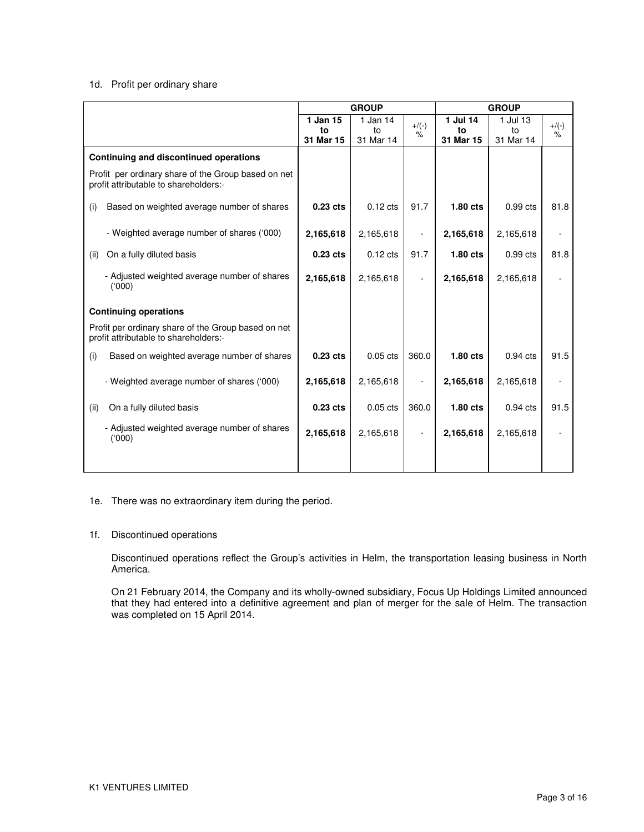#### 1d. Profit per ordinary share

|                                                                                              |            | <b>GROUP</b>       |         | <b>GROUP</b> |            |      |
|----------------------------------------------------------------------------------------------|------------|--------------------|---------|--------------|------------|------|
|                                                                                              | 1 Jan 15   | 1 Jan 14           | $+/(-)$ | 1 Jul 14     | $+/(-)$    |      |
|                                                                                              | to         | to                 | $\%$    | to           | to         | %    |
|                                                                                              | 31 Mar 15  | 31 Mar 14          |         | 31 Mar 15    | 31 Mar 14  |      |
| Continuing and discontinued operations                                                       |            |                    |         |              |            |      |
| Profit per ordinary share of the Group based on net<br>profit attributable to shareholders:- |            |                    |         |              |            |      |
| (i)<br>Based on weighted average number of shares                                            | $0.23$ cts | $0.12$ cts         | 91.7    | $1.80$ cts   | $0.99$ cts | 81.8 |
| - Weighted average number of shares ('000)                                                   | 2,165,618  | 2,165,618          |         | 2,165,618    | 2,165,618  |      |
| On a fully diluted basis<br>(ii)                                                             | $0.23$ cts | $0.12 \text{ cts}$ | 91.7    | $1.80$ cts   | $0.99$ cts | 81.8 |
| - Adjusted weighted average number of shares<br>(000)                                        | 2,165,618  | 2,165,618          |         | 2,165,618    | 2,165,618  |      |
| <b>Continuing operations</b>                                                                 |            |                    |         |              |            |      |
| Profit per ordinary share of the Group based on net<br>profit attributable to shareholders:- |            |                    |         |              |            |      |
| (i)<br>Based on weighted average number of shares                                            | $0.23$ cts | $0.05$ cts         | 360.0   | $1.80$ cts   | $0.94$ cts | 91.5 |
| - Weighted average number of shares ('000)                                                   | 2,165,618  | 2,165,618          |         | 2,165,618    | 2,165,618  |      |
| On a fully diluted basis<br>(ii)                                                             | $0.23$ cts | $0.05$ cts         | 360.0   | $1.80$ cts   | $0.94$ cts | 91.5 |
| - Adjusted weighted average number of shares<br>(000)                                        | 2,165,618  | 2,165,618          |         | 2,165,618    | 2,165,618  |      |
|                                                                                              |            |                    |         |              |            |      |

#### 1e. There was no extraordinary item during the period.

#### 1f. Discontinued operations

Discontinued operations reflect the Group's activities in Helm, the transportation leasing business in North America.

On 21 February 2014, the Company and its wholly-owned subsidiary, Focus Up Holdings Limited announced that they had entered into a definitive agreement and plan of merger for the sale of Helm. The transaction was completed on 15 April 2014.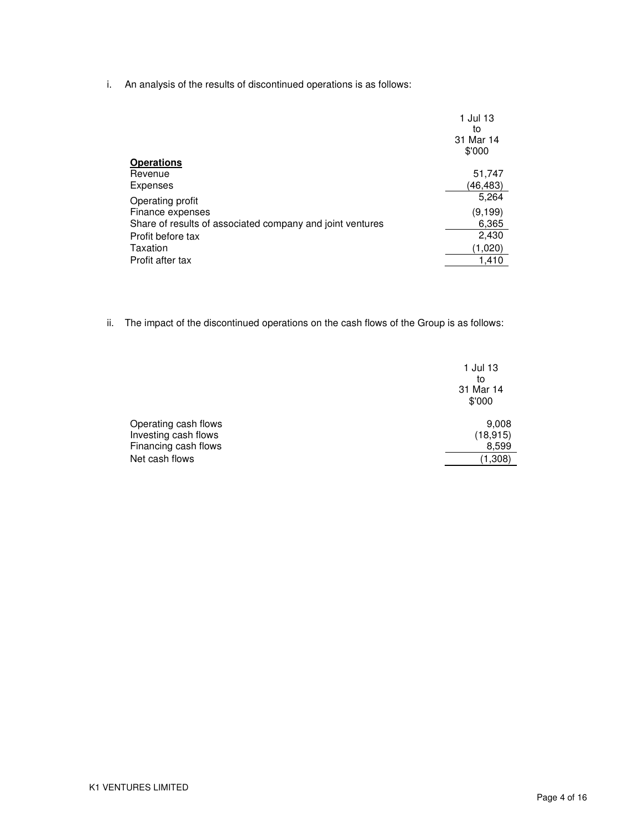i. An analysis of the results of discontinued operations is as follows:

|                                                           | 1 Jul 13<br>to<br>31 Mar 14<br>\$'000 |
|-----------------------------------------------------------|---------------------------------------|
| Operations                                                |                                       |
| Revenue                                                   | 51,747                                |
| Expenses                                                  | (46,483)                              |
| Operating profit                                          | 5,264                                 |
| Finance expenses                                          | (9, 199)                              |
| Share of results of associated company and joint ventures | 6,365                                 |
| Profit before tax                                         | 2,430                                 |
| Taxation                                                  | (1,020)                               |
| Profit after tax                                          | 1,410                                 |
|                                                           |                                       |

ii. The impact of the discontinued operations on the cash flows of the Group is as follows:

|                      | 1 Jul 13<br>to<br>31 Mar 14<br>\$'000 |
|----------------------|---------------------------------------|
| Operating cash flows | 9,008                                 |
| Investing cash flows | (18, 915)                             |
| Financing cash flows | 8,599                                 |
| Net cash flows       | (1,308)                               |
|                      |                                       |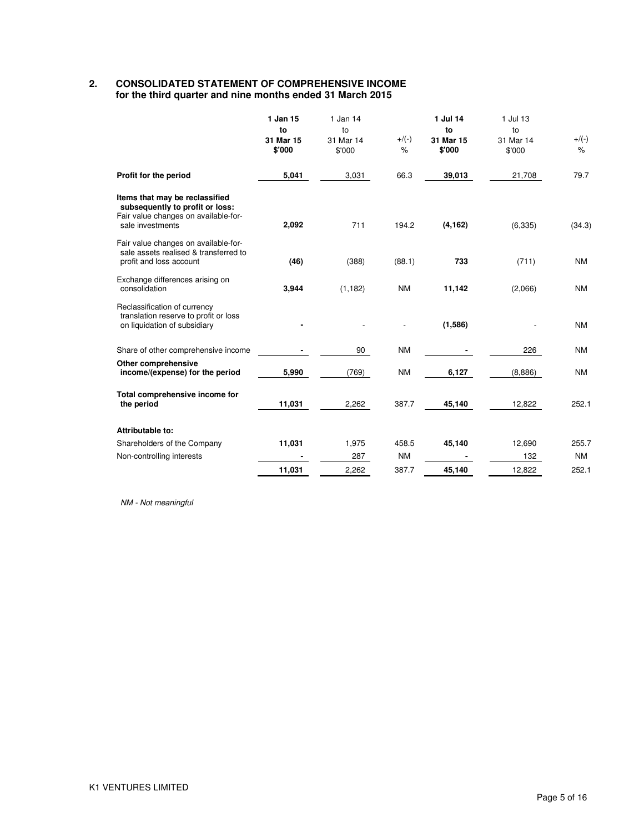#### **2. CONSOLIDATED STATEMENT OF COMPREHENSIVE INCOME for the third quarter and nine months ended 31 March 2015**

|                                                                                                                               | 1 Jan 15<br>to<br>31 Mar 15<br>\$'000 | 1 Jan 14<br>to<br>31 Mar 14<br>\$'000 | $+$ /(-)<br>$\%$ | 1 Jul 14<br>to<br>31 Mar 15<br>\$'000 | 1 Jul 13<br>to<br>31 Mar 14<br>\$'000 | $+/(-)$<br>$\%$ |
|-------------------------------------------------------------------------------------------------------------------------------|---------------------------------------|---------------------------------------|------------------|---------------------------------------|---------------------------------------|-----------------|
| Profit for the period                                                                                                         | 5,041                                 | 3,031                                 | 66.3             | 39,013                                | 21,708                                | 79.7            |
| Items that may be reclassified<br>subsequently to profit or loss:<br>Fair value changes on available-for-<br>sale investments | 2,092                                 | 711                                   | 194.2            | (4, 162)                              | (6, 335)                              | (34.3)          |
| Fair value changes on available-for-<br>sale assets realised & transferred to<br>profit and loss account                      | (46)                                  | (388)                                 | (88.1)           | 733                                   | (711)                                 | <b>NM</b>       |
| Exchange differences arising on<br>consolidation                                                                              | 3,944                                 | (1, 182)                              | <b>NM</b>        | 11,142                                | (2,066)                               | <b>NM</b>       |
| Reclassification of currency<br>translation reserve to profit or loss<br>on liquidation of subsidiary                         |                                       |                                       |                  | (1,586)                               |                                       | <b>NM</b>       |
| Share of other comprehensive income                                                                                           |                                       | 90                                    | <b>NM</b>        |                                       | 226                                   | <b>NM</b>       |
| Other comprehensive<br>income/(expense) for the period                                                                        | 5,990                                 | (769)                                 | <b>NM</b>        | 6,127                                 | (8,886)                               | <b>NM</b>       |
| Total comprehensive income for<br>the period                                                                                  | 11,031                                | 2,262                                 | 387.7            | 45,140                                | 12,822                                | 252.1           |
| Attributable to:                                                                                                              |                                       |                                       |                  |                                       |                                       |                 |
| Shareholders of the Company                                                                                                   | 11,031                                | 1,975                                 | 458.5            | 45,140                                | 12,690                                | 255.7           |
| Non-controlling interests                                                                                                     |                                       | 287                                   | <b>NM</b>        |                                       | 132                                   | <b>NM</b>       |
|                                                                                                                               | 11,031                                | 2,262                                 | 387.7            | 45,140                                | 12,822                                | 252.1           |

NM - Not meaningful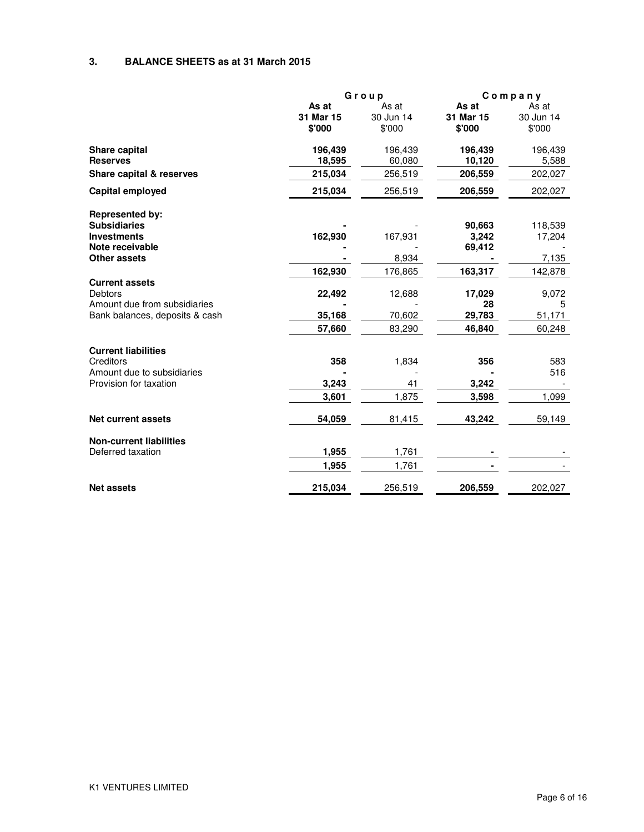## **3. BALANCE SHEETS as at 31 March 2015**

|                                | Group     |           |           | Company   |
|--------------------------------|-----------|-----------|-----------|-----------|
|                                | As at     | As at     | As at     | As at     |
|                                | 31 Mar 15 | 30 Jun 14 | 31 Mar 15 | 30 Jun 14 |
|                                | \$'000    | \$'000    | \$'000    | \$'000    |
| Share capital                  | 196,439   | 196,439   | 196,439   | 196,439   |
| <b>Reserves</b>                | 18,595    | 60,080    | 10,120    | 5,588     |
| Share capital & reserves       | 215,034   | 256,519   | 206,559   | 202,027   |
| <b>Capital employed</b>        | 215,034   | 256,519   | 206,559   | 202,027   |
| <b>Represented by:</b>         |           |           |           |           |
| <b>Subsidiaries</b>            |           |           | 90,663    | 118,539   |
| <b>Investments</b>             | 162,930   | 167,931   | 3,242     | 17,204    |
| Note receivable                |           |           | 69,412    |           |
| <b>Other assets</b>            |           | 8,934     |           | 7,135     |
|                                | 162,930   | 176,865   | 163,317   | 142,878   |
| <b>Current assets</b>          |           |           |           |           |
| <b>Debtors</b>                 | 22,492    | 12,688    | 17,029    | 9,072     |
| Amount due from subsidiaries   |           |           | 28        | 5         |
| Bank balances, deposits & cash | 35,168    | 70,602    | 29,783    | 51,171    |
|                                | 57,660    | 83,290    | 46,840    | 60,248    |
| <b>Current liabilities</b>     |           |           |           |           |
| Creditors                      | 358       | 1,834     | 356       | 583       |
| Amount due to subsidiaries     |           |           |           | 516       |
| Provision for taxation         | 3,243     | 41        | 3,242     |           |
|                                | 3,601     | 1,875     | 3,598     | 1,099     |
| Net current assets             | 54,059    | 81,415    | 43,242    | 59,149    |
| <b>Non-current liabilities</b> |           |           |           |           |
| Deferred taxation              | 1,955     | 1,761     |           |           |
|                                | 1,955     | 1,761     |           |           |
| <b>Net assets</b>              | 215,034   | 256,519   | 206,559   | 202,027   |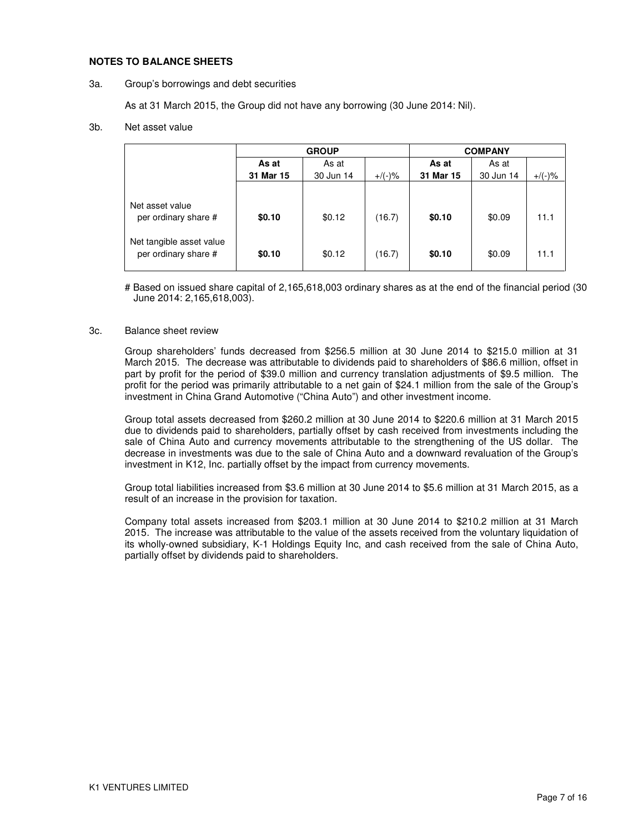#### **NOTES TO BALANCE SHEETS**

#### 3a. Group's borrowings and debt securities

As at 31 March 2015, the Group did not have any borrowing (30 June 2014: Nil).

#### 3b. Net asset value

|                                                                                             | <b>GROUP</b>     |                  |                  | <b>COMPANY</b>   |                  |              |  |
|---------------------------------------------------------------------------------------------|------------------|------------------|------------------|------------------|------------------|--------------|--|
|                                                                                             | As at            | As at            |                  | As at            | As at            |              |  |
|                                                                                             | 31 Mar 15        | 30 Jun 14        | $+$ /(-)%        | 31 Mar 15        | 30 Jun 14        | $+/(-)$ %    |  |
| Net asset value<br>per ordinary share #<br>Net tangible asset value<br>per ordinary share # | \$0.10<br>\$0.10 | \$0.12<br>\$0.12 | (16.7)<br>(16.7) | \$0.10<br>\$0.10 | \$0.09<br>\$0.09 | 11.1<br>11.1 |  |

# Based on issued share capital of 2,165,618,003 ordinary shares as at the end of the financial period (30 June 2014: 2,165,618,003).

#### 3c. Balance sheet review

Group shareholders' funds decreased from \$256.5 million at 30 June 2014 to \$215.0 million at 31 March 2015. The decrease was attributable to dividends paid to shareholders of \$86.6 million, offset in part by profit for the period of \$39.0 million and currency translation adjustments of \$9.5 million. The profit for the period was primarily attributable to a net gain of \$24.1 million from the sale of the Group's investment in China Grand Automotive ("China Auto") and other investment income.

Group total assets decreased from \$260.2 million at 30 June 2014 to \$220.6 million at 31 March 2015 due to dividends paid to shareholders, partially offset by cash received from investments including the sale of China Auto and currency movements attributable to the strengthening of the US dollar. The decrease in investments was due to the sale of China Auto and a downward revaluation of the Group's investment in K12, Inc. partially offset by the impact from currency movements.

Group total liabilities increased from \$3.6 million at 30 June 2014 to \$5.6 million at 31 March 2015, as a result of an increase in the provision for taxation.

Company total assets increased from \$203.1 million at 30 June 2014 to \$210.2 million at 31 March 2015. The increase was attributable to the value of the assets received from the voluntary liquidation of its wholly-owned subsidiary, K-1 Holdings Equity Inc, and cash received from the sale of China Auto, partially offset by dividends paid to shareholders.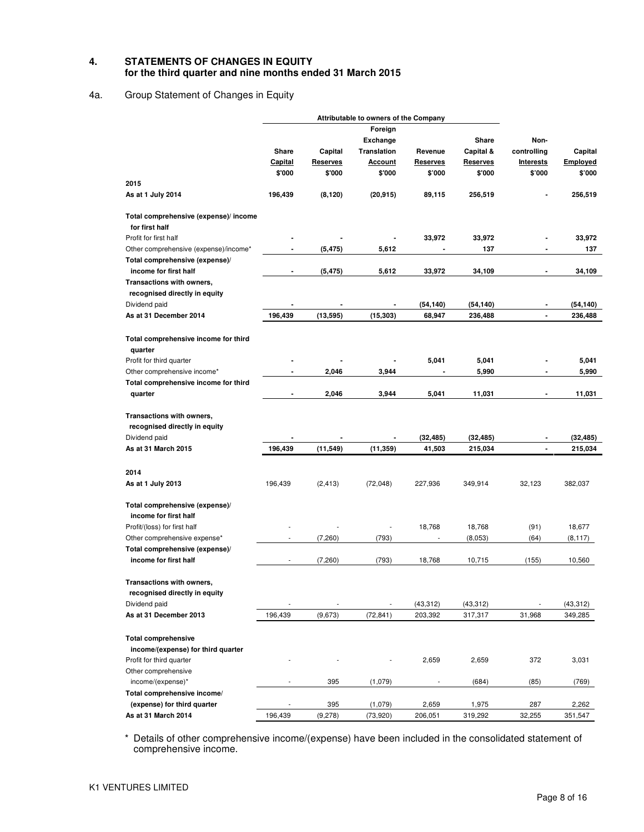#### **4. STATEMENTS OF CHANGES IN EQUITY for the third quarter and nine months ended 31 March 2015**

# 4a. Group Statement of Changes in Equity

|                                                            |                | Attributable to owners of the Company |                 |                 |                 |                          |           |
|------------------------------------------------------------|----------------|---------------------------------------|-----------------|-----------------|-----------------|--------------------------|-----------|
|                                                            |                |                                       | Foreign         |                 |                 |                          |           |
|                                                            |                |                                       | <b>Exchange</b> |                 | Share           | Non-                     |           |
|                                                            | Share          | Capital                               | Translation     | Revenue         | Capital &       | controlling              | Capital   |
|                                                            | <b>Capital</b> | <b>Reserves</b>                       | <u>Account</u>  | <u>Reserves</u> | <b>Reserves</b> | <b>Interests</b>         | Employed  |
|                                                            | \$'000         | \$'000                                | \$'000          | \$'000          | \$'000          | \$'000                   | \$'000    |
| 2015                                                       |                |                                       |                 |                 |                 |                          |           |
| As at 1 July 2014                                          | 196,439        | (8, 120)                              | (20, 915)       | 89,115          | 256,519         |                          | 256,519   |
| Total comprehensive (expense)/ income                      |                |                                       |                 |                 |                 |                          |           |
| for first half                                             |                |                                       |                 |                 |                 |                          |           |
| Profit for first half                                      |                |                                       |                 | 33,972          | 33,972          |                          | 33,972    |
| Other comprehensive (expense)/income*                      |                | (5, 475)                              | 5,612           |                 | 137             |                          | 137       |
| Total comprehensive (expense)/<br>income for first half    |                | (5, 475)                              | 5,612           | 33,972          | 34,109          | $\overline{\phantom{0}}$ | 34,109    |
|                                                            |                |                                       |                 |                 |                 |                          |           |
| Transactions with owners,<br>recognised directly in equity |                |                                       |                 |                 |                 |                          |           |
| Dividend paid                                              |                |                                       |                 | (54, 140)       | (54,140)        |                          | (54, 140) |
| As at 31 December 2014                                     | 196,439        | (13, 595)                             | (15, 303)       | 68,947          | 236,488         | $\blacksquare$           | 236,488   |
| Total comprehensive income for third                       |                |                                       |                 |                 |                 |                          |           |
| quarter                                                    |                |                                       |                 |                 |                 |                          |           |
| Profit for third quarter                                   |                |                                       |                 | 5,041           | 5,041           |                          | 5,041     |
| Other comprehensive income*                                | $\blacksquare$ | 2,046                                 | 3,944           |                 | 5,990           | $\overline{\phantom{0}}$ | 5,990     |
| Total comprehensive income for third                       |                |                                       |                 |                 |                 |                          |           |
| quarter                                                    |                | 2,046                                 | 3,944           | 5,041           | 11,031          |                          | 11,031    |
| Transactions with owners,                                  |                |                                       |                 |                 |                 |                          |           |
| recognised directly in equity                              |                |                                       |                 |                 |                 |                          |           |
| Dividend paid                                              |                |                                       |                 | (32, 485)       | (32, 485)       |                          | (32, 485) |
| As at 31 March 2015                                        | 196,439        | (11, 549)                             | (11, 359)       | 41,503          | 215,034         | $\blacksquare$           | 215,034   |
|                                                            |                |                                       |                 |                 |                 |                          |           |
| 2014                                                       |                |                                       |                 |                 |                 |                          |           |
| As at 1 July 2013                                          | 196,439        | (2, 413)                              | (72,048)        | 227,936         | 349,914         | 32,123                   | 382,037   |
| Total comprehensive (expense)/                             |                |                                       |                 |                 |                 |                          |           |
| income for first half                                      |                |                                       |                 |                 |                 |                          |           |
| Profit/(loss) for first half                               |                |                                       |                 | 18,768          | 18,768          | (91)                     | 18,677    |
| Other comprehensive expense*                               |                | (7, 260)                              | (793)           |                 | (8,053)         | (64)                     | (8, 117)  |
| Total comprehensive (expense)/                             |                |                                       |                 |                 |                 |                          |           |
| income for first half                                      |                | (7, 260)                              | (793)           | 18,768          | 10,715          | (155)                    | 10,560    |
| Transactions with owners,                                  |                |                                       |                 |                 |                 |                          |           |
| recognised directly in equity                              |                |                                       |                 |                 |                 |                          |           |
| Dividend paid                                              |                |                                       |                 | (43, 312)       | (43, 312)       |                          | (43,312)  |
| As at 31 December 2013                                     | 196,439        | (9,673)                               | (72, 841)       | 203,392         | 317,317         | 31,968                   | 349,285   |
|                                                            |                |                                       |                 |                 |                 |                          |           |
| <b>Total comprehensive</b>                                 |                |                                       |                 |                 |                 |                          |           |
| income/(expense) for third quarter                         |                |                                       |                 |                 |                 |                          |           |
| Profit for third quarter                                   |                |                                       |                 | 2,659           | 2,659           | 372                      | 3,031     |
| Other comprehensive                                        |                |                                       |                 |                 |                 |                          |           |
| income/(expense)*                                          |                | 395                                   | (1,079)         |                 | (684)           | (85)                     | (769)     |
| Total comprehensive income/                                |                |                                       |                 |                 |                 |                          |           |
| (expense) for third quarter                                |                | 395                                   | (1,079)         | 2,659           | 1,975           | 287                      | 2,262     |
| As at 31 March 2014                                        | 196,439        | (9, 278)                              | (73, 920)       | 206,051         | 319,292         | 32,255                   | 351,547   |

\* Details of other comprehensive income/(expense) have been included in the consolidated statement of comprehensive income.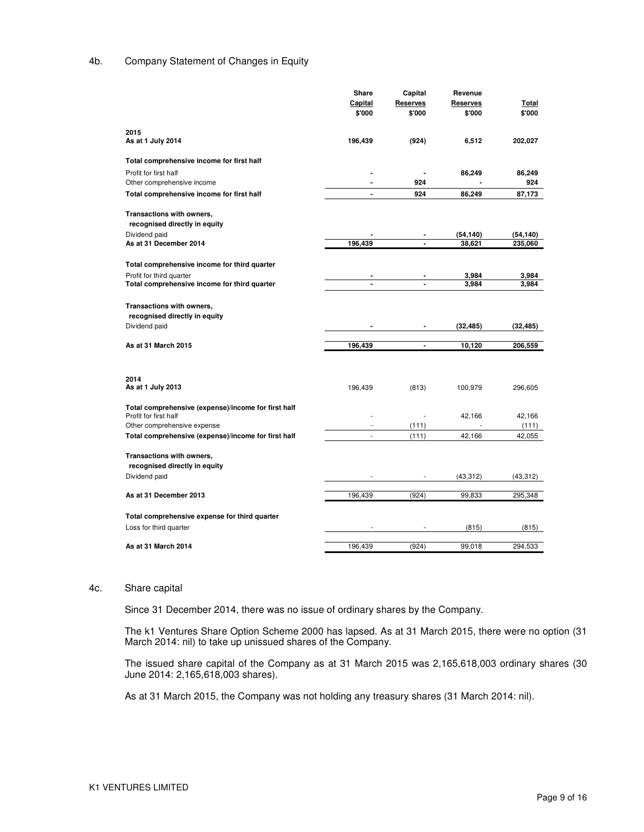#### 4b. Company Statement of Changes in Equity

|                                                     | Share                | Capital                  | Revenue      |           |
|-----------------------------------------------------|----------------------|--------------------------|--------------|-----------|
|                                                     | Capital              | <b>Reserves</b>          | Reserves     | Total     |
|                                                     | \$'000               | \$'000                   | \$'000       | \$'000    |
| 2015                                                |                      |                          |              |           |
| As at 1 July 2014                                   | 196,439              | (924)                    | 6,512        | 202,027   |
| Total comprehensive income for first half           |                      |                          |              |           |
| Profit for first half                               |                      |                          | 86,249       | 86,249    |
| Other comprehensive income                          | ٠                    | 924                      |              | 924       |
| Total comprehensive income for first half           | $\blacksquare$       | 924                      | 86,249       | 87,173    |
| Transactions with owners,                           |                      |                          |              |           |
| recognised directly in equity                       |                      |                          |              |           |
| Dividend paid                                       |                      | $\overline{\phantom{a}}$ | (54, 140)    | (54,140)  |
| As at 31 December 2014                              | 196,439              |                          | 38,621       | 235,060   |
|                                                     |                      |                          |              |           |
| Total comprehensive income for third quarter        |                      |                          |              |           |
| Profit for third quarter                            |                      |                          | 3,984        | 3,984     |
| Total comprehensive income for third quarter        | $\blacksquare$       | $\blacksquare$           | 3,984        | 3,984     |
| Transactions with owners,                           |                      |                          |              |           |
| recognised directly in equity                       |                      |                          |              |           |
| Dividend paid                                       |                      |                          | (32, 485)    | (32, 485) |
|                                                     |                      | $\overline{\phantom{a}}$ |              |           |
| As at 31 March 2015                                 | 196,439              | $\blacksquare$           | 10,120       | 206,559   |
|                                                     |                      |                          |              |           |
| 2014                                                |                      |                          |              |           |
| As at 1 July 2013                                   | 196,439              | (813)                    | 100,979      | 296,605   |
|                                                     |                      |                          |              |           |
| Total comprehensive (expense)/income for first half |                      |                          |              |           |
| Profit for first half                               |                      |                          | 42,166<br>÷, | 42,166    |
| Other comprehensive expense                         | $\overline{a}$<br>J. | (111)                    |              | (111)     |
| Total comprehensive (expense)/income for first half |                      | (111)                    | 42,166       | 42,055    |
| Transactions with owners,                           |                      |                          |              |           |
| recognised directly in equity                       |                      |                          |              |           |
| Dividend paid                                       |                      |                          | (43, 312)    | (43, 312) |
|                                                     |                      |                          |              |           |
| As at 31 December 2013                              | 196,439              | (924)                    | 99,833       | 295,348   |
| Total comprehensive expense for third quarter       |                      |                          |              |           |
| Loss for third quarter                              |                      |                          | (815)        | (815)     |
|                                                     |                      |                          |              |           |
| As at 31 March 2014                                 | 196,439              | (924)                    | 99,018       | 294,533   |

#### 4c. Share capital

Since 31 December 2014, there was no issue of ordinary shares by the Company.

The k1 Ventures Share Option Scheme 2000 has lapsed. As at 31 March 2015, there were no option (31 March 2014: nil) to take up unissued shares of the Company.

The issued share capital of the Company as at 31 March 2015 was 2,165,618,003 ordinary shares (30 June 2014: 2,165,618,003 shares).

As at 31 March 2015, the Company was not holding any treasury shares (31 March 2014: nil).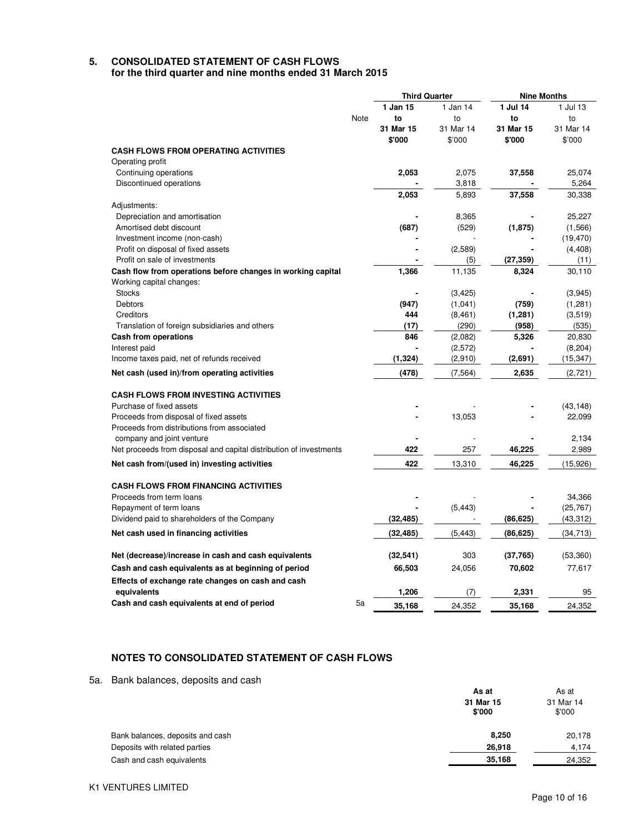# **5. CONSOLIDATED STATEMENT OF CASH FLOWS**

**for the third quarter and nine months ended 31 March 2015** 

| 1 Jan 15<br>1 Jul 14<br>1 Jan 14<br>1 Jul 13<br>Note<br>to<br>to<br>to<br>to<br>31 Mar 14<br>31 Mar 15<br>31 Mar 15<br>31 Mar 14<br>\$'000<br>\$'000<br>\$'000<br>\$'000<br><b>CASH FLOWS FROM OPERATING ACTIVITIES</b><br>Operating profit<br>2,053<br>25,074<br>Continuing operations<br>2,075<br>37,558<br>5,264<br>Discontinued operations<br>3,818<br>2,053<br>37,558<br>5,893<br>30,338<br>Adjustments:<br>Depreciation and amortisation<br>8,365<br>25,227<br>Amortised debt discount<br>(687)<br>(529)<br>(1, 875)<br>(1,566)<br>Investment income (non-cash)<br>(19, 470)<br>(2,589)<br>Profit on disposal of fixed assets<br>(4, 408)<br>Profit on sale of investments<br>(27, 359)<br>(11)<br>(5)<br>٠<br>1,366<br>11,135<br>Cash flow from operations before changes in working capital<br>8,324<br>30,110<br>Working capital changes: |
|----------------------------------------------------------------------------------------------------------------------------------------------------------------------------------------------------------------------------------------------------------------------------------------------------------------------------------------------------------------------------------------------------------------------------------------------------------------------------------------------------------------------------------------------------------------------------------------------------------------------------------------------------------------------------------------------------------------------------------------------------------------------------------------------------------------------------------------------------|
|                                                                                                                                                                                                                                                                                                                                                                                                                                                                                                                                                                                                                                                                                                                                                                                                                                                    |
|                                                                                                                                                                                                                                                                                                                                                                                                                                                                                                                                                                                                                                                                                                                                                                                                                                                    |
|                                                                                                                                                                                                                                                                                                                                                                                                                                                                                                                                                                                                                                                                                                                                                                                                                                                    |
|                                                                                                                                                                                                                                                                                                                                                                                                                                                                                                                                                                                                                                                                                                                                                                                                                                                    |
|                                                                                                                                                                                                                                                                                                                                                                                                                                                                                                                                                                                                                                                                                                                                                                                                                                                    |
|                                                                                                                                                                                                                                                                                                                                                                                                                                                                                                                                                                                                                                                                                                                                                                                                                                                    |
|                                                                                                                                                                                                                                                                                                                                                                                                                                                                                                                                                                                                                                                                                                                                                                                                                                                    |
|                                                                                                                                                                                                                                                                                                                                                                                                                                                                                                                                                                                                                                                                                                                                                                                                                                                    |
|                                                                                                                                                                                                                                                                                                                                                                                                                                                                                                                                                                                                                                                                                                                                                                                                                                                    |
|                                                                                                                                                                                                                                                                                                                                                                                                                                                                                                                                                                                                                                                                                                                                                                                                                                                    |
|                                                                                                                                                                                                                                                                                                                                                                                                                                                                                                                                                                                                                                                                                                                                                                                                                                                    |
|                                                                                                                                                                                                                                                                                                                                                                                                                                                                                                                                                                                                                                                                                                                                                                                                                                                    |
|                                                                                                                                                                                                                                                                                                                                                                                                                                                                                                                                                                                                                                                                                                                                                                                                                                                    |
|                                                                                                                                                                                                                                                                                                                                                                                                                                                                                                                                                                                                                                                                                                                                                                                                                                                    |
|                                                                                                                                                                                                                                                                                                                                                                                                                                                                                                                                                                                                                                                                                                                                                                                                                                                    |
|                                                                                                                                                                                                                                                                                                                                                                                                                                                                                                                                                                                                                                                                                                                                                                                                                                                    |
|                                                                                                                                                                                                                                                                                                                                                                                                                                                                                                                                                                                                                                                                                                                                                                                                                                                    |
| (3, 425)<br>(3,945)<br><b>Stocks</b>                                                                                                                                                                                                                                                                                                                                                                                                                                                                                                                                                                                                                                                                                                                                                                                                               |
| (947)<br>(1,041)<br>(759)<br>(1, 281)<br>Debtors                                                                                                                                                                                                                                                                                                                                                                                                                                                                                                                                                                                                                                                                                                                                                                                                   |
| Creditors<br>444<br>(1, 281)<br>(3,519)<br>(8, 461)                                                                                                                                                                                                                                                                                                                                                                                                                                                                                                                                                                                                                                                                                                                                                                                                |
| Translation of foreign subsidiaries and others<br>(290)<br>(958)<br>(17)<br>(535)                                                                                                                                                                                                                                                                                                                                                                                                                                                                                                                                                                                                                                                                                                                                                                  |
| <b>Cash from operations</b><br>846<br>5,326<br>20,830<br>(2,082)                                                                                                                                                                                                                                                                                                                                                                                                                                                                                                                                                                                                                                                                                                                                                                                   |
| Interest paid<br>(2,572)<br>(8, 204)                                                                                                                                                                                                                                                                                                                                                                                                                                                                                                                                                                                                                                                                                                                                                                                                               |
| (1, 324)<br>(2,910)<br>(2,691)<br>(15, 347)<br>Income taxes paid, net of refunds received                                                                                                                                                                                                                                                                                                                                                                                                                                                                                                                                                                                                                                                                                                                                                          |
|                                                                                                                                                                                                                                                                                                                                                                                                                                                                                                                                                                                                                                                                                                                                                                                                                                                    |
| (478)<br>(7, 564)<br>2,635<br>Net cash (used in)/from operating activities<br>(2,721)                                                                                                                                                                                                                                                                                                                                                                                                                                                                                                                                                                                                                                                                                                                                                              |
|                                                                                                                                                                                                                                                                                                                                                                                                                                                                                                                                                                                                                                                                                                                                                                                                                                                    |
| <b>CASH FLOWS FROM INVESTING ACTIVITIES</b>                                                                                                                                                                                                                                                                                                                                                                                                                                                                                                                                                                                                                                                                                                                                                                                                        |
| Purchase of fixed assets<br>(43, 148)                                                                                                                                                                                                                                                                                                                                                                                                                                                                                                                                                                                                                                                                                                                                                                                                              |
| Proceeds from disposal of fixed assets<br>13,053<br>22,099                                                                                                                                                                                                                                                                                                                                                                                                                                                                                                                                                                                                                                                                                                                                                                                         |
| Proceeds from distributions from associated                                                                                                                                                                                                                                                                                                                                                                                                                                                                                                                                                                                                                                                                                                                                                                                                        |
| company and joint venture<br>2,134                                                                                                                                                                                                                                                                                                                                                                                                                                                                                                                                                                                                                                                                                                                                                                                                                 |
| 422<br>257<br>46,225<br>2,989<br>Net proceeds from disposal and capital distribution of investments                                                                                                                                                                                                                                                                                                                                                                                                                                                                                                                                                                                                                                                                                                                                                |
| 422<br>Net cash from/(used in) investing activities<br>13,310<br>46,225<br>(15, 926)                                                                                                                                                                                                                                                                                                                                                                                                                                                                                                                                                                                                                                                                                                                                                               |
|                                                                                                                                                                                                                                                                                                                                                                                                                                                                                                                                                                                                                                                                                                                                                                                                                                                    |
| <b>CASH FLOWS FROM FINANCING ACTIVITIES</b>                                                                                                                                                                                                                                                                                                                                                                                                                                                                                                                                                                                                                                                                                                                                                                                                        |
| Proceeds from term loans<br>34,366                                                                                                                                                                                                                                                                                                                                                                                                                                                                                                                                                                                                                                                                                                                                                                                                                 |
| (5, 443)<br>Repayment of term loans<br>(25, 767)                                                                                                                                                                                                                                                                                                                                                                                                                                                                                                                                                                                                                                                                                                                                                                                                   |
| (43, 312)<br>Dividend paid to shareholders of the Company<br>(32, 485)<br>(86, 625)                                                                                                                                                                                                                                                                                                                                                                                                                                                                                                                                                                                                                                                                                                                                                                |
| Net cash used in financing activities<br>(5, 443)<br>(86, 625)<br>(34, 713)<br>(32, 485)                                                                                                                                                                                                                                                                                                                                                                                                                                                                                                                                                                                                                                                                                                                                                           |
|                                                                                                                                                                                                                                                                                                                                                                                                                                                                                                                                                                                                                                                                                                                                                                                                                                                    |
| 303<br>Net (decrease)/increase in cash and cash equivalents<br>(32, 541)<br>(37, 765)<br>(53, 360)                                                                                                                                                                                                                                                                                                                                                                                                                                                                                                                                                                                                                                                                                                                                                 |
| 66,503<br>70,602<br>77,617<br>Cash and cash equivalents as at beginning of period<br>24,056                                                                                                                                                                                                                                                                                                                                                                                                                                                                                                                                                                                                                                                                                                                                                        |
| Effects of exchange rate changes on cash and cash                                                                                                                                                                                                                                                                                                                                                                                                                                                                                                                                                                                                                                                                                                                                                                                                  |
| 1,206<br>2,331<br>equivalents<br>(7)<br>95                                                                                                                                                                                                                                                                                                                                                                                                                                                                                                                                                                                                                                                                                                                                                                                                         |
| Cash and cash equivalents at end of period<br>5a<br>24,352<br>35,168<br>35,168<br>24,352                                                                                                                                                                                                                                                                                                                                                                                                                                                                                                                                                                                                                                                                                                                                                           |

## **NOTES TO CONSOLIDATED STATEMENT OF CASH FLOWS**

5a. Bank balances, deposits and cash

| As at               |                     |
|---------------------|---------------------|
| 31 Mar 15<br>\$'000 | 31 Mar 14<br>\$'000 |
| 8,250               | 20,178              |
| 26,918              | 4.174               |
| 35,168              | 24,352              |
|                     |                     |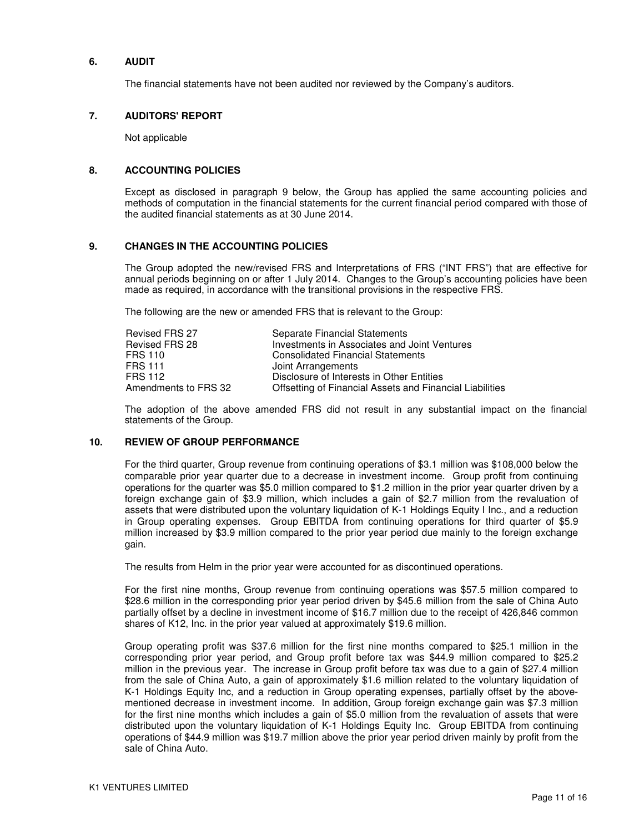#### **6. AUDIT**

The financial statements have not been audited nor reviewed by the Company's auditors.

#### **7. AUDITORS' REPORT**

Not applicable

#### **8. ACCOUNTING POLICIES**

Except as disclosed in paragraph 9 below, the Group has applied the same accounting policies and methods of computation in the financial statements for the current financial period compared with those of the audited financial statements as at 30 June 2014.

#### **9. CHANGES IN THE ACCOUNTING POLICIES**

The Group adopted the new/revised FRS and Interpretations of FRS ("INT FRS") that are effective for annual periods beginning on or after 1 July 2014. Changes to the Group's accounting policies have been made as required, in accordance with the transitional provisions in the respective FRS.

The following are the new or amended FRS that is relevant to the Group:

| Revised FRS 27       | Separate Financial Statements                            |
|----------------------|----------------------------------------------------------|
| Revised FRS 28       | Investments in Associates and Joint Ventures             |
| FRS 110              | <b>Consolidated Financial Statements</b>                 |
| FRS 111              | Joint Arrangements                                       |
| FRS 112              | Disclosure of Interests in Other Entities                |
| Amendments to FRS 32 | Offsetting of Financial Assets and Financial Liabilities |

The adoption of the above amended FRS did not result in any substantial impact on the financial statements of the Group.

#### **10. REVIEW OF GROUP PERFORMANCE**

For the third quarter, Group revenue from continuing operations of \$3.1 million was \$108,000 below the comparable prior year quarter due to a decrease in investment income. Group profit from continuing operations for the quarter was \$5.0 million compared to \$1.2 million in the prior year quarter driven by a foreign exchange gain of \$3.9 million, which includes a gain of \$2.7 million from the revaluation of assets that were distributed upon the voluntary liquidation of K-1 Holdings Equity I Inc., and a reduction in Group operating expenses. Group EBITDA from continuing operations for third quarter of \$5.9 million increased by \$3.9 million compared to the prior year period due mainly to the foreign exchange gain.

The results from Helm in the prior year were accounted for as discontinued operations.

For the first nine months, Group revenue from continuing operations was \$57.5 million compared to \$28.6 million in the corresponding prior year period driven by \$45.6 million from the sale of China Auto partially offset by a decline in investment income of \$16.7 million due to the receipt of 426,846 common shares of K12, Inc. in the prior year valued at approximately \$19.6 million.

Group operating profit was \$37.6 million for the first nine months compared to \$25.1 million in the corresponding prior year period, and Group profit before tax was \$44.9 million compared to \$25.2 million in the previous year. The increase in Group profit before tax was due to a gain of \$27.4 million from the sale of China Auto, a gain of approximately \$1.6 million related to the voluntary liquidation of K-1 Holdings Equity Inc, and a reduction in Group operating expenses, partially offset by the abovementioned decrease in investment income. In addition, Group foreign exchange gain was \$7.3 million for the first nine months which includes a gain of \$5.0 million from the revaluation of assets that were distributed upon the voluntary liquidation of K-1 Holdings Equity Inc. Group EBITDA from continuing operations of \$44.9 million was \$19.7 million above the prior year period driven mainly by profit from the sale of China Auto.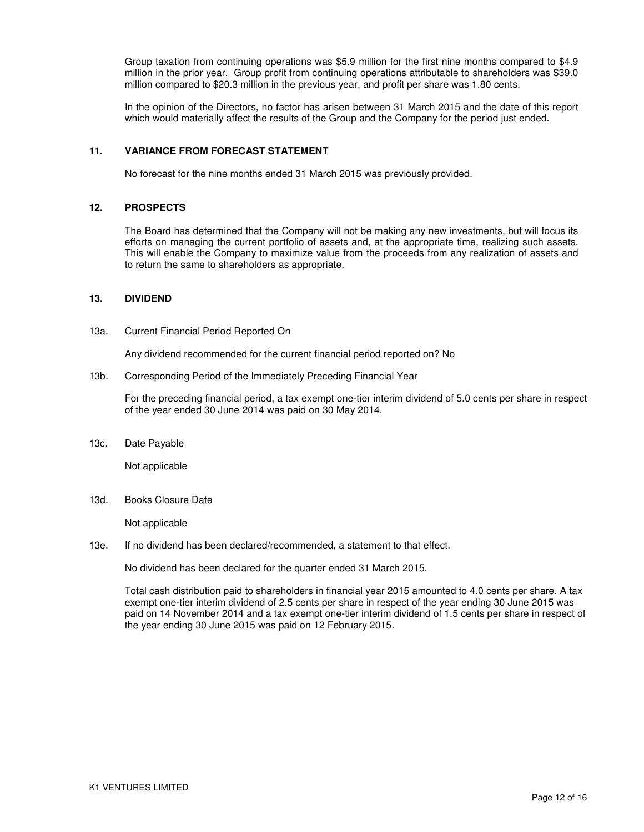Group taxation from continuing operations was \$5.9 million for the first nine months compared to \$4.9 million in the prior year. Group profit from continuing operations attributable to shareholders was \$39.0 million compared to \$20.3 million in the previous year, and profit per share was 1.80 cents.

In the opinion of the Directors, no factor has arisen between 31 March 2015 and the date of this report which would materially affect the results of the Group and the Company for the period just ended.

#### **11. VARIANCE FROM FORECAST STATEMENT**

No forecast for the nine months ended 31 March 2015 was previously provided.

#### **12. PROSPECTS**

The Board has determined that the Company will not be making any new investments, but will focus its efforts on managing the current portfolio of assets and, at the appropriate time, realizing such assets. This will enable the Company to maximize value from the proceeds from any realization of assets and to return the same to shareholders as appropriate.

#### **13. DIVIDEND**

13a. Current Financial Period Reported On

Any dividend recommended for the current financial period reported on? No

13b. Corresponding Period of the Immediately Preceding Financial Year

For the preceding financial period, a tax exempt one-tier interim dividend of 5.0 cents per share in respect of the year ended 30 June 2014 was paid on 30 May 2014.

13c. Date Payable

Not applicable

13d. Books Closure Date

Not applicable

13e. If no dividend has been declared/recommended, a statement to that effect.

No dividend has been declared for the quarter ended 31 March 2015.

Total cash distribution paid to shareholders in financial year 2015 amounted to 4.0 cents per share. A tax exempt one-tier interim dividend of 2.5 cents per share in respect of the year ending 30 June 2015 was paid on 14 November 2014 and a tax exempt one-tier interim dividend of 1.5 cents per share in respect of the year ending 30 June 2015 was paid on 12 February 2015.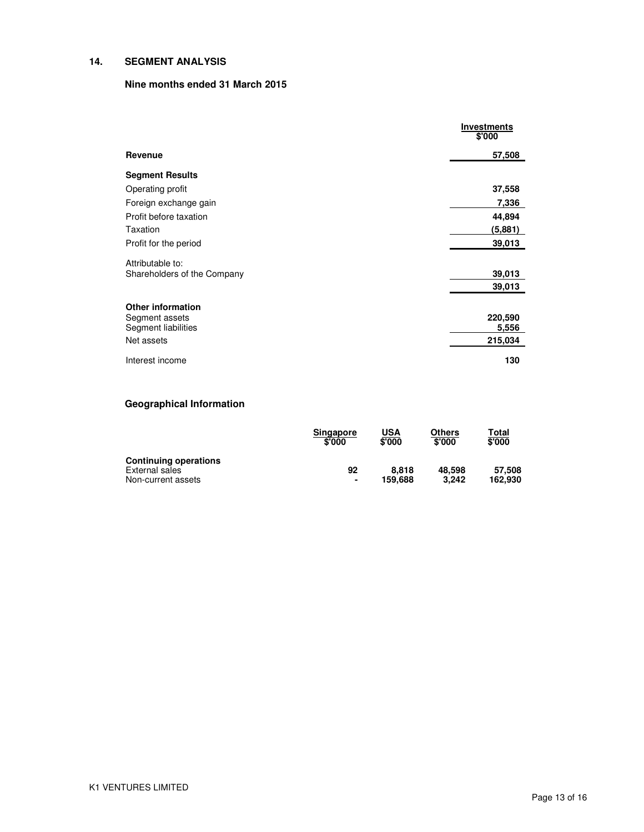## **14. SEGMENT ANALYSIS**

## **Nine months ended 31 March 2015**

|                                            | <b>Investments</b><br>\$'000 |
|--------------------------------------------|------------------------------|
| Revenue                                    | 57,508                       |
| <b>Segment Results</b>                     |                              |
| Operating profit                           | 37,558                       |
| Foreign exchange gain                      | 7,336                        |
| Profit before taxation                     | 44,894                       |
| Taxation                                   | (5,881)                      |
| Profit for the period                      | 39,013                       |
| Attributable to:                           |                              |
| Shareholders of the Company                | 39,013                       |
|                                            | 39,013                       |
|                                            |                              |
| <b>Other information</b><br>Segment assets | 220,590                      |
| Segment liabilities                        | 5,556                        |
| Net assets                                 | 215,034                      |
| Interest income                            | 130                          |

# **Geographical Information**

|                                                | Singapore<br>\$'000 | <u>USA</u><br>\$'000 | Others<br>\$'000 | T <u>otal</u><br>\$'000 |
|------------------------------------------------|---------------------|----------------------|------------------|-------------------------|
| <b>Continuing operations</b><br>External sales | 92                  | 8.818                | 48.598           | 57.508                  |
| Non-current assets                             | $\blacksquare$      | 159.688              | 3.242            | 162.930                 |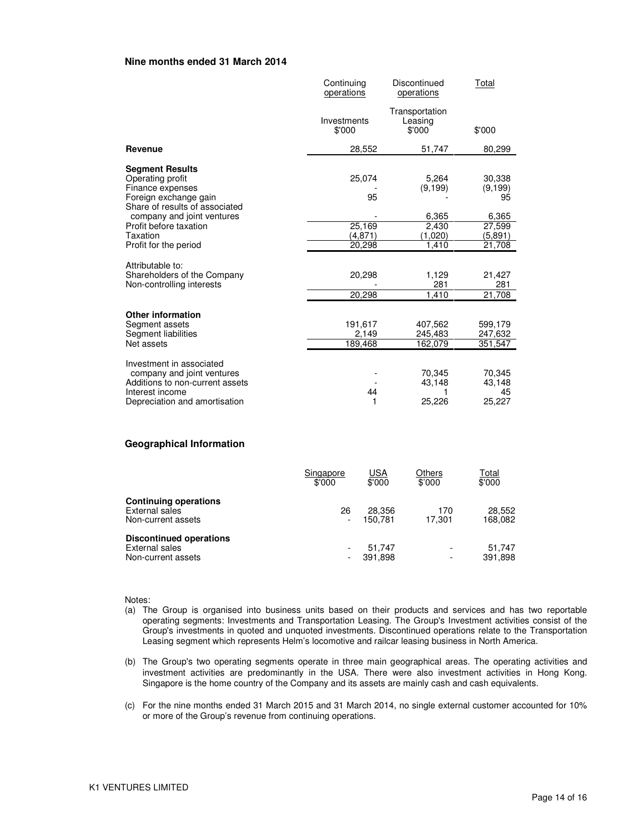#### **Nine months ended 31 March 2014**

|                                                                                                                                               | Continuing<br>operations    | Discontinued<br>operations          | Total                                |
|-----------------------------------------------------------------------------------------------------------------------------------------------|-----------------------------|-------------------------------------|--------------------------------------|
|                                                                                                                                               | Investments<br>\$'000       | Transportation<br>Leasing<br>\$'000 | \$'000                               |
| Revenue                                                                                                                                       | 28,552                      | 51,747                              | 80,299                               |
| <b>Segment Results</b><br>Operating profit<br>Finance expenses<br>Foreign exchange gain<br>Share of results of associated                     | 25.074<br>95                | 5,264<br>(9, 199)                   | 30,338<br>(9, 199)<br>95             |
| company and joint ventures<br>Profit before taxation<br><b>Taxation</b><br>Profit for the period                                              | 25,169<br>(4,871)<br>20.298 | 6,365<br>2,430<br>(1,020)<br>1.410  | 6,365<br>27,599<br>(5,891)<br>21.708 |
| Attributable to:<br>Shareholders of the Company<br>Non-controlling interests                                                                  | 20,298<br>20,298            | 1,129<br>281<br>1,410               | 21,427<br>281<br>21,708              |
| <b>Other information</b><br>Segment assets<br>Segment liabilities<br>Net assets                                                               | 191,617<br>2,149<br>189,468 | 407,562<br>245,483<br>162,079       | 599,179<br>247,632<br>351,547        |
| Investment in associated<br>company and joint ventures<br>Additions to non-current assets<br>Interest income<br>Depreciation and amortisation | 44<br>1                     | 70,345<br>43,148<br>25,226          | 70,345<br>43,148<br>45<br>25,227     |

#### **Geographical Information**

|                                                                        | Singapore<br>\$'000 | <u>USA</u><br>\$'000 | Others<br>\$'000                                     | Total<br>\$'000   |
|------------------------------------------------------------------------|---------------------|----------------------|------------------------------------------------------|-------------------|
| <b>Continuing operations</b><br>External sales<br>Non-current assets   | 26                  | 28.356<br>150.781    | 170<br>17.301                                        | 28.552<br>168.082 |
| <b>Discontinued operations</b><br>External sales<br>Non-current assets |                     | 51.747<br>391.898    | $\overline{\phantom{a}}$<br>$\overline{\phantom{a}}$ | 51.747<br>391,898 |

Notes:

- (a) The Group is organised into business units based on their products and services and has two reportable operating segments: Investments and Transportation Leasing. The Group's Investment activities consist of the Group's investments in quoted and unquoted investments. Discontinued operations relate to the Transportation Leasing segment which represents Helm's locomotive and railcar leasing business in North America.
- (b) The Group's two operating segments operate in three main geographical areas. The operating activities and investment activities are predominantly in the USA. There were also investment activities in Hong Kong. Singapore is the home country of the Company and its assets are mainly cash and cash equivalents.
- (c) For the nine months ended 31 March 2015 and 31 March 2014, no single external customer accounted for 10% or more of the Group's revenue from continuing operations.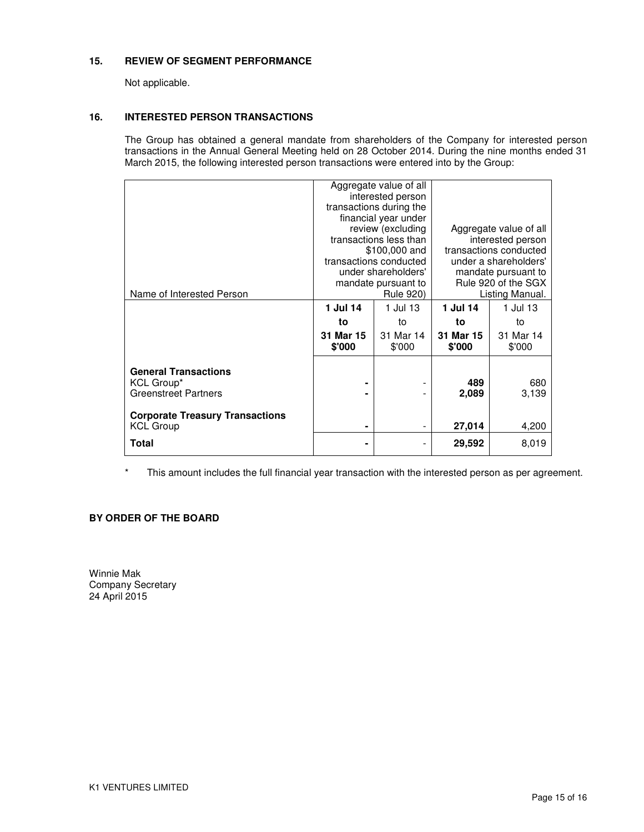### **15. REVIEW OF SEGMENT PERFORMANCE**

Not applicable.

#### **16. INTERESTED PERSON TRANSACTIONS**

The Group has obtained a general mandate from shareholders of the Company for interested person transactions in the Annual General Meeting held on 28 October 2014. During the nine months ended 31 March 2015, the following interested person transactions were entered into by the Group:

| Aggregate value of all<br>interested person<br>transactions during the<br>financial year under<br>review (excluding<br>Aggregate value of all<br>transactions less than<br>interested person<br>transactions conducted<br>\$100,000 and<br>transactions conducted<br>under a shareholders'<br>under shareholders'<br>mandate pursuant to<br>Rule 920 of the SGX<br>mandate pursuant to<br><b>Rule 920)</b><br>Listing Manual.<br>Name of Interested Person<br>1 Jul 14<br>1 Jul 13<br>1 Jul 14<br>1 Jul 13<br>to<br>to<br>to<br>to<br>31 Mar 15<br>31 Mar 14<br>31 Mar 15<br>31 Mar 14<br>\$'000<br>\$'000<br>\$'000<br>\$'000<br><b>General Transactions</b><br>680<br>KCL Group*<br>489<br><b>Greenstreet Partners</b><br>2,089<br>3,139<br><b>Corporate Treasury Transactions</b><br><b>KCL Group</b><br>27,014<br>4,200<br>۰<br>Total<br>29,592<br>8,019<br>۰ |  |  |  |  |
|-------------------------------------------------------------------------------------------------------------------------------------------------------------------------------------------------------------------------------------------------------------------------------------------------------------------------------------------------------------------------------------------------------------------------------------------------------------------------------------------------------------------------------------------------------------------------------------------------------------------------------------------------------------------------------------------------------------------------------------------------------------------------------------------------------------------------------------------------------------------|--|--|--|--|
|                                                                                                                                                                                                                                                                                                                                                                                                                                                                                                                                                                                                                                                                                                                                                                                                                                                                   |  |  |  |  |
|                                                                                                                                                                                                                                                                                                                                                                                                                                                                                                                                                                                                                                                                                                                                                                                                                                                                   |  |  |  |  |
|                                                                                                                                                                                                                                                                                                                                                                                                                                                                                                                                                                                                                                                                                                                                                                                                                                                                   |  |  |  |  |
|                                                                                                                                                                                                                                                                                                                                                                                                                                                                                                                                                                                                                                                                                                                                                                                                                                                                   |  |  |  |  |
|                                                                                                                                                                                                                                                                                                                                                                                                                                                                                                                                                                                                                                                                                                                                                                                                                                                                   |  |  |  |  |
|                                                                                                                                                                                                                                                                                                                                                                                                                                                                                                                                                                                                                                                                                                                                                                                                                                                                   |  |  |  |  |
|                                                                                                                                                                                                                                                                                                                                                                                                                                                                                                                                                                                                                                                                                                                                                                                                                                                                   |  |  |  |  |
|                                                                                                                                                                                                                                                                                                                                                                                                                                                                                                                                                                                                                                                                                                                                                                                                                                                                   |  |  |  |  |
|                                                                                                                                                                                                                                                                                                                                                                                                                                                                                                                                                                                                                                                                                                                                                                                                                                                                   |  |  |  |  |
|                                                                                                                                                                                                                                                                                                                                                                                                                                                                                                                                                                                                                                                                                                                                                                                                                                                                   |  |  |  |  |
|                                                                                                                                                                                                                                                                                                                                                                                                                                                                                                                                                                                                                                                                                                                                                                                                                                                                   |  |  |  |  |
|                                                                                                                                                                                                                                                                                                                                                                                                                                                                                                                                                                                                                                                                                                                                                                                                                                                                   |  |  |  |  |
|                                                                                                                                                                                                                                                                                                                                                                                                                                                                                                                                                                                                                                                                                                                                                                                                                                                                   |  |  |  |  |
|                                                                                                                                                                                                                                                                                                                                                                                                                                                                                                                                                                                                                                                                                                                                                                                                                                                                   |  |  |  |  |
|                                                                                                                                                                                                                                                                                                                                                                                                                                                                                                                                                                                                                                                                                                                                                                                                                                                                   |  |  |  |  |
|                                                                                                                                                                                                                                                                                                                                                                                                                                                                                                                                                                                                                                                                                                                                                                                                                                                                   |  |  |  |  |
|                                                                                                                                                                                                                                                                                                                                                                                                                                                                                                                                                                                                                                                                                                                                                                                                                                                                   |  |  |  |  |
|                                                                                                                                                                                                                                                                                                                                                                                                                                                                                                                                                                                                                                                                                                                                                                                                                                                                   |  |  |  |  |
|                                                                                                                                                                                                                                                                                                                                                                                                                                                                                                                                                                                                                                                                                                                                                                                                                                                                   |  |  |  |  |
|                                                                                                                                                                                                                                                                                                                                                                                                                                                                                                                                                                                                                                                                                                                                                                                                                                                                   |  |  |  |  |
|                                                                                                                                                                                                                                                                                                                                                                                                                                                                                                                                                                                                                                                                                                                                                                                                                                                                   |  |  |  |  |
|                                                                                                                                                                                                                                                                                                                                                                                                                                                                                                                                                                                                                                                                                                                                                                                                                                                                   |  |  |  |  |
|                                                                                                                                                                                                                                                                                                                                                                                                                                                                                                                                                                                                                                                                                                                                                                                                                                                                   |  |  |  |  |
|                                                                                                                                                                                                                                                                                                                                                                                                                                                                                                                                                                                                                                                                                                                                                                                                                                                                   |  |  |  |  |

\* This amount includes the full financial year transaction with the interested person as per agreement.

## **BY ORDER OF THE BOARD**

Winnie Mak Company Secretary 24 April 2015